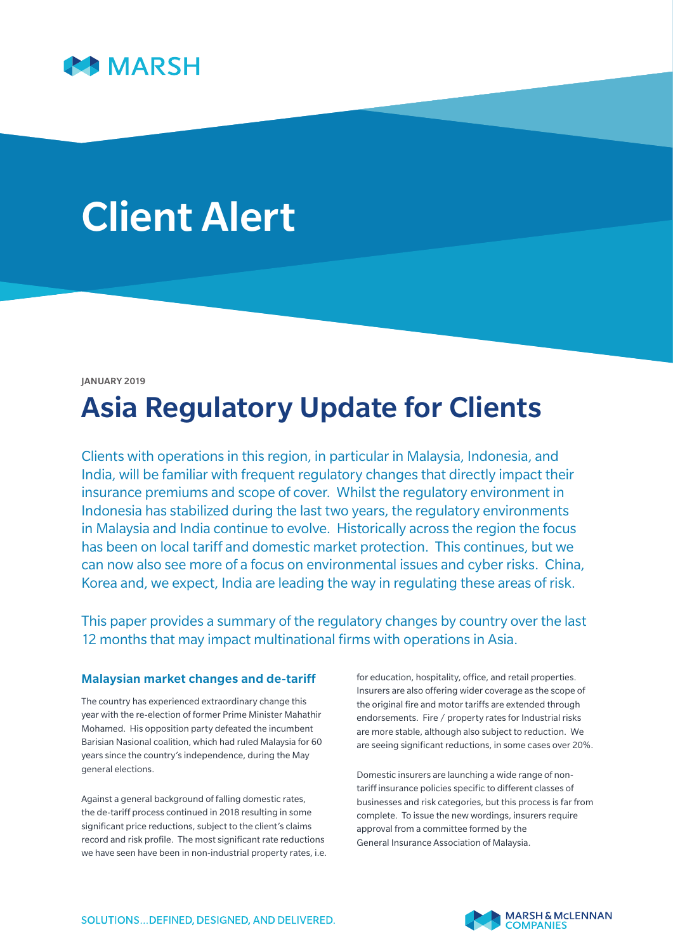

# Client Alert

#### JANUARY 2019

# Asia Regulatory Update for Clients

Clients with operations in this region, in particular in Malaysia, Indonesia, and India, will be familiar with frequent regulatory changes that directly impact their insurance premiums and scope of cover. Whilst the regulatory environment in Indonesia has stabilized during the last two years, the regulatory environments in Malaysia and India continue to evolve. Historically across the region the focus has been on local tariff and domestic market protection. This continues, but we can now also see more of a focus on environmental issues and cyber risks. China, Korea and, we expect, India are leading the way in regulating these areas of risk.

This paper provides a summary of the regulatory changes by country over the last 12 months that may impact multinational firms with operations in Asia.

#### Malaysian market changes and de-tariff

The country has experienced extraordinary change this year with the re-election of former Prime Minister Mahathir Mohamed. His opposition party defeated the incumbent Barisian Nasional coalition, which had ruled Malaysia for 60 years since the country's independence, during the May general elections.

Against a general background of falling domestic rates, the de-tariff process continued in 2018 resulting in some significant price reductions, subject to the client's claims record and risk profile. The most significant rate reductions we have seen have been in non-industrial property rates, i.e. for education, hospitality, office, and retail properties. Insurers are also offering wider coverage as the scope of the original fire and motor tariffs are extended through endorsements. Fire / property rates for Industrial risks are more stable, although also subject to reduction. We are seeing significant reductions, in some cases over 20%.

Domestic insurers are launching a wide range of nontariff insurance policies specific to different classes of businesses and risk categories, but this process is far from complete. To issue the new wordings, insurers require approval from a committee formed by the General Insurance Association of Malaysia.

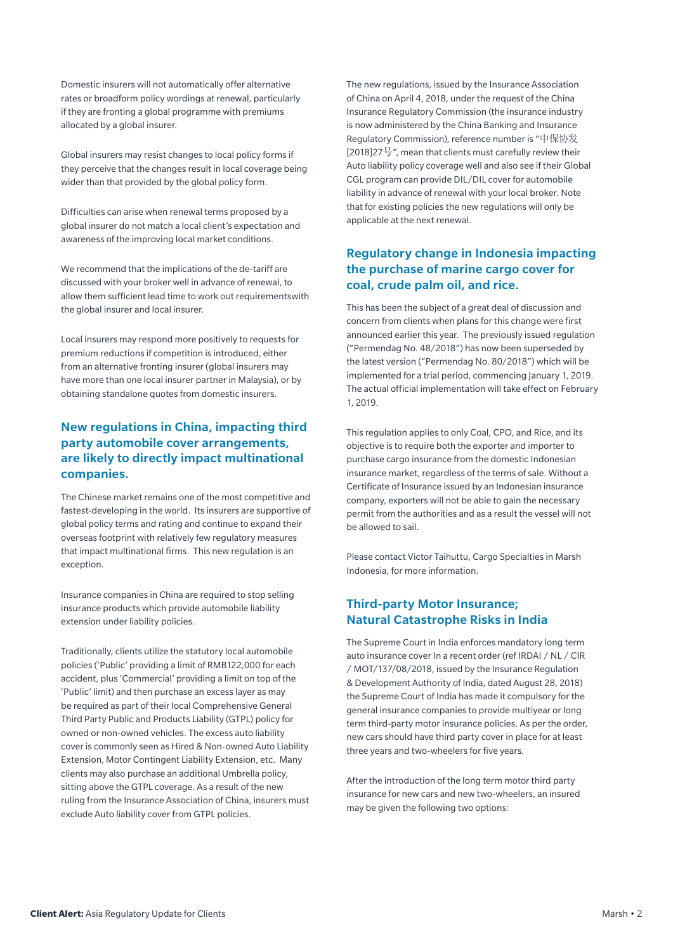Domestic insurers will not automatically offer alternative rates or broadform policy wordings at renewal, particularly if they are fronting a global programme with premiums allocated by a global insurer.

Global insurers may resist changes to local policy forms if they perceive that the changes result in local coverage being wider than that provided by the global policy form.

Difficulties can arise when renewal terms proposed by a global insurer do not match a local client's expectation and awareness of the improving local market conditions.

We recommend that the implications of the de-tariff are discussed with your broker well in advance of renewal, to allow them sufficient lead time to work out requirementswith the global insurer and local insurer.

Local insurers may respond more positively to requests for premium reductions if competition is introduced, either from an alternative fronting insurer (global insurers may have more than one local insurer partner in Malaysia), or by obtaining standalone quotes from domestic insurers.

# New regulations in China, impacting third party automobile cover arrangements, are likely to directly impact multinational companies.

The Chinese market remains one of the most competitive and fastest-developing in the world. Its insurers are supportive of global policy terms and rating and continue to expand their overseas footprint with relatively few regulatory measures that impact multinational firms. This new regulation is an exception.

Insurance companies in China are required to stop selling insurance products which provide automobile liability extension under liability policies.

Traditionally, clients utilize the statutory local automobile policies ('Public' providing a limit of RMB122,000 for each accident, plus 'Commercial' providing a limit on top of the 'Public' limit) and then purchase an excess layer as may be required as part of their local Comprehensive General Third Party Public and Products Liability (GTPL) policy for owned or non-owned vehicles. The excess auto liability cover is commonly seen as Hired & Non-owned Auto Liability Extension, Motor Contingent Liability Extension, etc. Many clients may also purchase an additional Umbrella policy, sitting above the GTPL coverage. As a result of the new ruling from the Insurance Association of China, insurers must exclude Auto liability cover from GTPL policies.

The new regulations, issued by the Insurance Association of China on April 4, 2018, under the request of the China Insurance Regulatory Commission (the insurance industry is now administered by the China Banking and Insurance Regulatory Commission), reference number is "中保协发 [2018]27号", mean that clients must carefully review their Auto liability policy coverage well and also see if their Global CGL program can provide DIL/DIL cover for automobile liability in advance of renewal with your local broker. Note that for existing policies the new regulations will only be applicable at the next renewal.

# Regulatory change in Indonesia impacting the purchase of marine cargo cover for coal, crude palm oil, and rice.

This has been the subject of a great deal of discussion and concern from clients when plans for this change were first announced earlier this year. The previously issued regulation ("Permendag No. 48/2018") has now been superseded by the latest version ("Permendag No. 80/2018") which will be implemented for a trial period, commencing January 1, 2019. The actual official implementation will take effect on February 1, 2019.

This regulation applies to only Coal, CPO, and Rice, and its objective is to require both the exporter and importer to purchase cargo insurance from the domestic Indonesian insurance market, regardless of the terms of sale. Without a Certificate of Insurance issued by an Indonesian insurance company, exporters will not be able to gain the necessary permit from the authorities and as a result the vessel will not be allowed to sail.

Please contact Victor Taihuttu, Cargo Specialties in Marsh Indonesia, for more information.

# Third-party Motor Insurance; Natural Catastrophe Risks in India

The Supreme Court in India enforces mandatory long term auto insurance cover In a recent order (ref IRDAI / NL / CIR / MOT/137/08/2018, issued by the Insurance Regulation & Development Authority of India, dated August 28, 2018) the Supreme Court of India has made it compulsory for the general insurance companies to provide multiyear or long term third-party motor insurance policies. As per the order, new cars should have third party cover in place for at least three years and two-wheelers for five years.

After the introduction of the long term motor third party insurance for new cars and new two-wheelers, an insured may be given the following two options: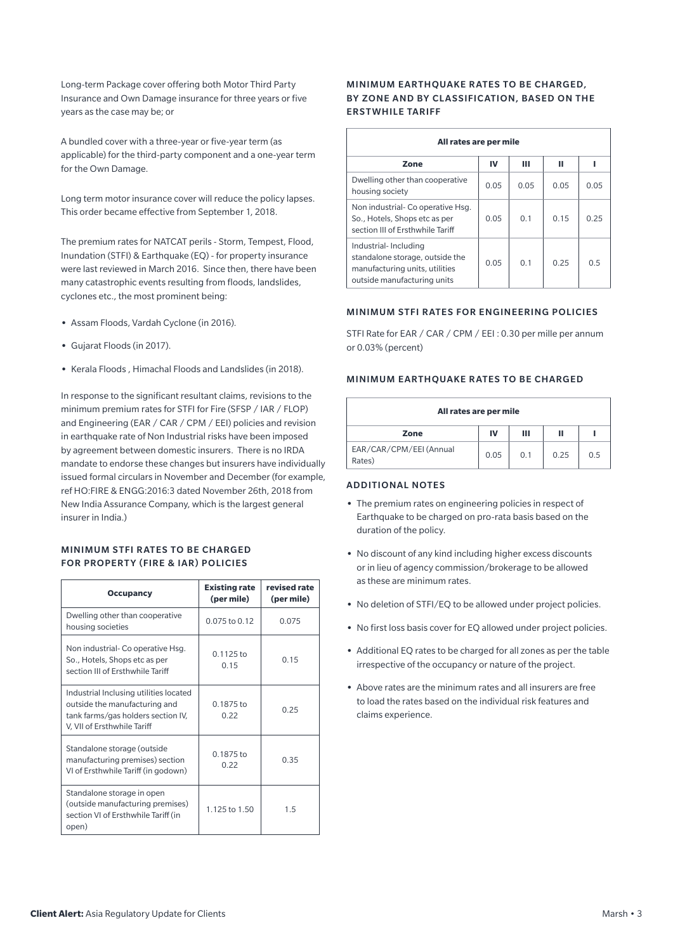Long-term Package cover offering both Motor Third Party Insurance and Own Damage insurance for three years or five years as the case may be; or

A bundled cover with a three-year or five-year term (as applicable) for the third-party component and a one-year term for the Own Damage.

Long term motor insurance cover will reduce the policy lapses. This order became effective from September 1, 2018.

The premium rates for NATCAT perils - Storm, Tempest, Flood, Inundation (STFI) & Earthquake (EQ) - for property insurance were last reviewed in March 2016. Since then, there have been many catastrophic events resulting from floods, landslides, cyclones etc., the most prominent being:

- **•** Assam Floods, Vardah Cyclone (in 2016).
- **•** Gujarat Floods (in 2017).
- **•** Kerala Floods , Himachal Floods and Landslides (in 2018).

In response to the significant resultant claims, revisions to the minimum premium rates for STFI for Fire (SFSP / IAR / FLOP) and Engineering (EAR / CAR / CPM / EEI) policies and revision in earthquake rate of Non Industrial risks have been imposed by agreement between domestic insurers. There is no IRDA mandate to endorse these changes but insurers have individually issued formal circulars in November and December (for example, ref HO:FIRE & ENGG:2016:3 dated November 26th, 2018 from New India Assurance Company, which is the largest general insurer in India.)

#### MINIMUM STFI RATES TO BE CHARGED FOR PROPERTY (FIRE & IAR) POLICIES

| <b>Occupancy</b>                                                                                                                             | <b>Existing rate</b><br>(per mile) | revised rate<br>(per mile) |
|----------------------------------------------------------------------------------------------------------------------------------------------|------------------------------------|----------------------------|
| Dwelling other than cooperative<br>housing societies                                                                                         | $0.075$ to $0.12$                  | 0.075                      |
| Non industrial- Co operative Hsg.<br>So., Hotels, Shops etc as per<br>section III of Ersthwhile Tariff                                       | $0.1125$ to<br>0.15                | 0.15                       |
| Industrial Inclusing utilities located<br>outside the manufacturing and<br>tank farms/gas holders section IV,<br>V, VII of Ersthwhile Tariff | $0.1875$ to<br>0.22                | 0.25                       |
| Standalone storage (outside<br>manufacturing premises) section<br>VI of Ersthwhile Tariff (in godown)                                        | $0.1875$ to<br>0.22                | 0.35                       |
| Standalone storage in open<br>(outside manufacturing premises)<br>section VI of Ersthwhile Tariff (in<br>open)                               | 1.125 to 1.50                      | 1.5                        |

#### MINIMUM EARTHQUAKE RATES TO BE CHARGED, BY ZONE AND BY CLASSIFICATION, BASED ON THE ERSTWHILE TARIFF

| All rates are per mile                                                                                                   |      |                |      |      |  |
|--------------------------------------------------------------------------------------------------------------------------|------|----------------|------|------|--|
| Zone                                                                                                                     | IV   | ш              | п    |      |  |
| Dwelling other than cooperative<br>housing society                                                                       | 0.05 | 0.05           | 0.05 | 0.05 |  |
| Non industrial- Co operative Hsq.<br>So., Hotels, Shops etc as per<br>section III of Ersthwhile Tariff                   | 0.05 | 0.1            | 0.15 | 0.25 |  |
| Industrial-Including<br>standalone storage, outside the<br>manufacturing units, utilities<br>outside manufacturing units | 0.05 | 0 <sub>1</sub> | 0.25 | 0.5  |  |

#### MINIMUM STFI RATES FOR ENGINEERING POLICIES

STFI Rate for EAR / CAR / CPM / EEI : 0.30 per mille per annum or 0.03% (percent)

#### MINIMUM EARTHQUAKE RATES TO BE CHARGED

| All rates are per mile            |      |                |      |     |  |
|-----------------------------------|------|----------------|------|-----|--|
| Zone                              | IV   | Ш              | П    |     |  |
| EAR/CAR/CPM/EEI (Annual<br>Rates) | 0.05 | 0 <sub>1</sub> | 0.25 | 0.5 |  |

#### ADDITIONAL NOTES

- **•** The premium rates on engineering policies in respect of Earthquake to be charged on pro-rata basis based on the duration of the policy.
- **•** No discount of any kind including higher excess discounts or in lieu of agency commission/brokerage to be allowed as these are minimum rates.
- **•** No deletion of STFI/EQ to be allowed under project policies.
- **•** No first loss basis cover for EQ allowed under project policies.
- **•** Additional EQ rates to be charged for all zones as per the table irrespective of the occupancy or nature of the project.
- **•** Above rates are the minimum rates and all insurers are free to load the rates based on the individual risk features and claims experience.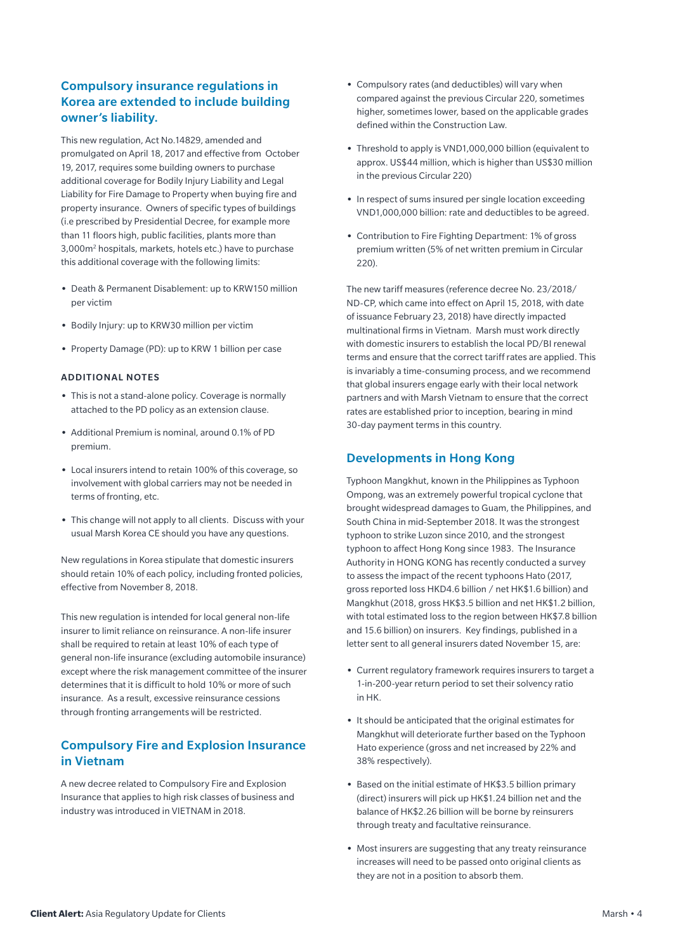# Compulsory insurance regulations in Korea are extended to include building owner's liability.

This new regulation, Act No.14829, amended and promulgated on April 18, 2017 and effective from October 19, 2017, requires some building owners to purchase additional coverage for Bodily Injury Liability and Legal Liability for Fire Damage to Property when buying fire and property insurance. Owners of specific types of buildings (i.e prescribed by Presidential Decree, for example more than 11 floors high, public facilities, plants more than 3,000m2 hospitals, markets, hotels etc.) have to purchase this additional coverage with the following limits:

- **•** Death & Permanent Disablement: up to KRW150 million per victim
- **•** Bodily Injury: up to KRW30 million per victim
- **•** Property Damage (PD): up to KRW 1 billion per case

#### ADDITIONAL NOTES

- **•** This is not a stand-alone policy. Coverage is normally attached to the PD policy as an extension clause.
- **•** Additional Premium is nominal, around 0.1% of PD premium.
- **•** Local insurers intend to retain 100% of this coverage, so involvement with global carriers may not be needed in terms of fronting, etc.
- **•** This change will not apply to all clients. Discuss with your usual Marsh Korea CE should you have any questions.

New regulations in Korea stipulate that domestic insurers should retain 10% of each policy, including fronted policies, effective from November 8, 2018.

This new regulation is intended for local general non-life insurer to limit reliance on reinsurance. A non-life insurer shall be required to retain at least 10% of each type of general non-life insurance (excluding automobile insurance) except where the risk management committee of the insurer determines that it is difficult to hold 10% or more of such insurance. As a result, excessive reinsurance cessions through fronting arrangements will be restricted.

# Compulsory Fire and Explosion Insurance in Vietnam

A new decree related to Compulsory Fire and Explosion Insurance that applies to high risk classes of business and industry was introduced in VIETNAM in 2018.

- **•** Compulsory rates (and deductibles) will vary when compared against the previous Circular 220, sometimes higher, sometimes lower, based on the applicable grades defined within the Construction Law.
- **•** Threshold to apply is VND1,000,000 billion (equivalent to approx. US\$44 million, which is higher than US\$30 million in the previous Circular 220)
- **•** In respect of sums insured per single location exceeding VND1,000,000 billion: rate and deductibles to be agreed.
- **•** Contribution to Fire Fighting Department: 1% of gross premium written (5% of net written premium in Circular 220).

The new tariff measures (reference decree No. 23/2018/ ND-CP, which came into effect on April 15, 2018, with date of issuance February 23, 2018) have directly impacted multinational firms in Vietnam. Marsh must work directly with domestic insurers to establish the local PD/BI renewal terms and ensure that the correct tariff rates are applied. This is invariably a time-consuming process, and we recommend that global insurers engage early with their local network partners and with Marsh Vietnam to ensure that the correct rates are established prior to inception, bearing in mind 30-day payment terms in this country.

## Developments in Hong Kong

Typhoon Mangkhut, known in the Philippines as Typhoon Ompong, was an extremely powerful tropical cyclone that brought widespread damages to Guam, the Philippines, and South China in mid-September 2018. It was the strongest typhoon to strike Luzon since 2010, and the strongest typhoon to affect Hong Kong since 1983. The Insurance Authority in HONG KONG has recently conducted a survey to assess the impact of the recent typhoons Hato (2017, gross reported loss HKD4.6 billion / net HK\$1.6 billion) and Mangkhut (2018, gross HK\$3.5 billion and net HK\$1.2 billion, with total estimated loss to the region between HK\$7.8 billion and 15.6 billion) on insurers. Key findings, published in a letter sent to all general insurers dated November 15, are:

- **•** Current regulatory framework requires insurers to target a 1-in-200-year return period to set their solvency ratio in HK.
- **•** It should be anticipated that the original estimates for Mangkhut will deteriorate further based on the Typhoon Hato experience (gross and net increased by 22% and 38% respectively).
- **•** Based on the initial estimate of HK\$3.5 billion primary (direct) insurers will pick up HK\$1.24 billion net and the balance of HK\$2.26 billion will be borne by reinsurers through treaty and facultative reinsurance.
- **•** Most insurers are suggesting that any treaty reinsurance increases will need to be passed onto original clients as they are not in a position to absorb them.